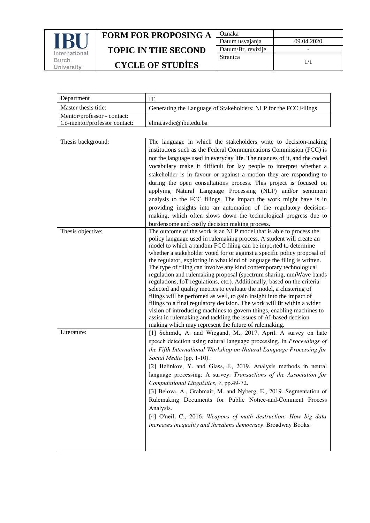

| Oznaka             |            |
|--------------------|------------|
| Datum usvajanja    | 09.04.2020 |
| Datum/Br. revizije |            |
| <b>Stranica</b>    | 1/1        |

| Department                   | IТ                                                               |
|------------------------------|------------------------------------------------------------------|
| Master thesis title:         | Generating the Language of Stakeholders: NLP for the FCC Filings |
| Mentor/professor - contact:  |                                                                  |
| Co-mentor/professor contact: | elma.avdic@ibu.edu.ba                                            |
|                              |                                                                  |

| Thesis background: | The language in which the stakeholders write to decision-making<br>institutions such as the Federal Communications Commission (FCC) is<br>not the language used in everyday life. The nuances of it, and the coded<br>vocabulary make it difficult for lay people to interpret whether a<br>stakeholder is in favour or against a motion they are responding to<br>during the open consultations process. This project is focused on<br>applying Natural Language Processing (NLP) and/or sentiment<br>analysis to the FCC filings. The impact the work might have is in<br>providing insights into an automation of the regulatory decision-<br>making, which often slows down the technological progress due to<br>burdensome and costly decision making process.                                                                                                                                                                                                                                                             |
|--------------------|---------------------------------------------------------------------------------------------------------------------------------------------------------------------------------------------------------------------------------------------------------------------------------------------------------------------------------------------------------------------------------------------------------------------------------------------------------------------------------------------------------------------------------------------------------------------------------------------------------------------------------------------------------------------------------------------------------------------------------------------------------------------------------------------------------------------------------------------------------------------------------------------------------------------------------------------------------------------------------------------------------------------------------|
| Thesis objective:  | The outcome of the work is an NLP model that is able to process the<br>policy language used in rulemaking process. A student will create an<br>model to which a random FCC filing can be imported to determine<br>whether a stakeholder voted for or against a specific policy proposal of<br>the regulator, exploring in what kind of language the filing is written.<br>The type of filing can involve any kind contemporary technological<br>regulation and rulemaking proposal (spectrum sharing, mmWave bands<br>regulations, IoT regulations, etc.). Additionally, based on the criteria<br>selected and quality metrics to evaluate the model, a clustering of<br>filings will be perfomed as well, to gain insight into the impact of<br>filings to a final regulatory decision. The work will fit within a wider<br>vision of introducing machines to govern things, enabling machines to<br>assist in rulemaking and tackling the issues of AI-based decision<br>making which may represent the future of rulemaking. |
| Literature:        | [1] Schmidt, A. and Wiegand, M., 2017, April. A survey on hate<br>speech detection using natural language processing. In Proceedings of<br>the Fifth International Workshop on Natural Language Processing for<br>Social Media (pp. 1-10).<br>[2] Belinkov, Y. and Glass, J., 2019. Analysis methods in neural<br>language processing: A survey. Transactions of the Association for<br>Computational Linguistics, 7, pp.49-72.<br>[3] Belova, A., Grabmair, M. and Nyberg, E., 2019. Segmentation of<br>Rulemaking Documents for Public Notice-and-Comment Process<br>Analysis.<br>[4] O'neil, C., 2016. Weapons of math destruction: How big data<br>increases inequality and threatens democracy. Broadway Books.                                                                                                                                                                                                                                                                                                            |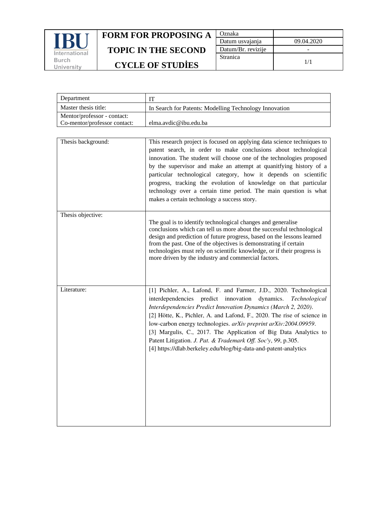

| Oznaka             |            |
|--------------------|------------|
| Datum usvajanja    | 09.04.2020 |
| Datum/Br. revizije |            |
| <b>Stranica</b>    | 1/1        |

| Department                   | IT                                                                                                                                                                                                                                                                                                                                                                                                                                                                                                                                                                       |
|------------------------------|--------------------------------------------------------------------------------------------------------------------------------------------------------------------------------------------------------------------------------------------------------------------------------------------------------------------------------------------------------------------------------------------------------------------------------------------------------------------------------------------------------------------------------------------------------------------------|
| Master thesis title:         | In Search for Patents: Modelling Technology Innovation                                                                                                                                                                                                                                                                                                                                                                                                                                                                                                                   |
| Mentor/professor - contact:  |                                                                                                                                                                                                                                                                                                                                                                                                                                                                                                                                                                          |
| Co-mentor/professor contact: | elma.avdic@ibu.edu.ba                                                                                                                                                                                                                                                                                                                                                                                                                                                                                                                                                    |
|                              |                                                                                                                                                                                                                                                                                                                                                                                                                                                                                                                                                                          |
| Thesis background:           | This research project is focused on applying data science techniques to<br>patent search, in order to make conclusions about technological<br>innovation. The student will choose one of the technologies proposed<br>by the supervisor and make an attempt at quanitfying history of a<br>particular technological category, how it depends on scientific<br>progress, tracking the evolution of knowledge on that particular<br>technology over a certain time period. The main question is what<br>makes a certain technology a success story.                        |
| Thesis objective:            |                                                                                                                                                                                                                                                                                                                                                                                                                                                                                                                                                                          |
|                              | The goal is to identify technological changes and generalise<br>conclusions which can tell us more about the successful technological<br>design and prediction of future progress, based on the lessons learned<br>from the past. One of the objectives is demonstrating if certain<br>technologies must rely on scientific knowledge, or if their progress is<br>more driven by the industry and commercial factors.                                                                                                                                                    |
| Literature:                  | [1] Pichler, A., Lafond, F. and Farmer, J.D., 2020. Technological<br>predict innovation dynamics.<br>interdependencies<br><i>Technological</i><br>Interdependencies Predict Innovation Dynamics (March 2, 2020).<br>[2] Hötte, K., Pichler, A. and Lafond, F., 2020. The rise of science in<br>low-carbon energy technologies. arXiv preprint arXiv:2004.09959.<br>[3] Margulis, C., 2017. The Application of Big Data Analytics to<br>Patent Litigation. J. Pat. & Trademark Off. Soc'y, 99, p.305.<br>[4] https://dlab.berkeley.edu/blog/big-data-and-patent-analytics |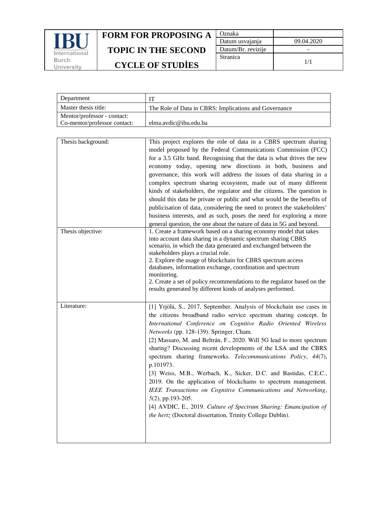

| Oznaka             |            |
|--------------------|------------|
| Datum usvajanja    | 09.04.2020 |
| Datum/Br. revizije |            |
| <b>Stranica</b>    | 1/1        |

| Department                   |                                                       |
|------------------------------|-------------------------------------------------------|
| Master thesis title:         | The Role of Data in CBRS: Implications and Governance |
| Mentor/professor - contact:  |                                                       |
| Co-mentor/professor contact: | elma.avdic@ibu.edu.ba                                 |
|                              |                                                       |

| Thesis background: | This project explores the role of data in a CBRS spectrum sharing<br>model proposed by the Federal Communications Commission (FCC)<br>for a 3.5 GHz band. Recognising that the data is what drives the new<br>economy today, opening new directions in both, business and<br>governance, this work will address the issues of data sharing in a<br>complex spectrum sharing ecosystem, made out of many different<br>kinds of stakeholders, the regulator and the citizens. The question is<br>should this data be private or public and what would be the benefits of<br>publicisation of data, considering the need to protect the stakeholders'<br>business interests, and as such, poses the need for exploring a more<br>general question, the one about the nature of data in 5G and beyond.                                              |
|--------------------|-------------------------------------------------------------------------------------------------------------------------------------------------------------------------------------------------------------------------------------------------------------------------------------------------------------------------------------------------------------------------------------------------------------------------------------------------------------------------------------------------------------------------------------------------------------------------------------------------------------------------------------------------------------------------------------------------------------------------------------------------------------------------------------------------------------------------------------------------|
| Thesis objective:  | 1. Create a framework based on a sharing economy model that takes<br>into account data sharing in a dynamic spectrum sharing CBRS<br>scenario, in which the data generated and exchanged between the<br>stakeholders plays a crucial role.<br>2. Explore the usage of blockchain for CBRS spectrum access<br>databases, information exchange, coordination and spectrum<br>monitoring.<br>2. Create a set of policy recommendations to the regulator based on the<br>results generated by different kinds of analyses performed.                                                                                                                                                                                                                                                                                                                |
| Literature:        | [1] Yrjölä, S., 2017, September. Analysis of blockchain use cases in<br>the citizens broadband radio service spectrum sharing concept. In<br>International Conference on Cognitive Radio Oriented Wireless<br>Networks (pp. 128-139). Springer, Cham.<br>[2] Massaro, M. and Beltrán, F., 2020. Will 5G lead to more spectrum<br>sharing? Discussing recent developments of the LSA and the CBRS<br>spectrum sharing frameworks. Telecommunications Policy, 44(7),<br>p.101973.<br>[3] Weiss, M.B., Werbach, K., Sicker, D.C. and Bastidas, C.E.C.,<br>2019. On the application of blockchains to spectrum management.<br>IEEE Transactions on Cognitive Communications and Networking,<br>5(2), pp.193-205.<br>[4] AVDIC, E., 2019. Culture of Spectrum Sharing: Emancipation of<br>the hertz (Doctoral dissertation, Trinity College Dublin). |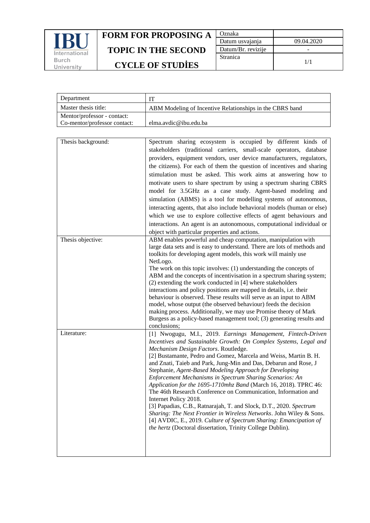

| Oznaka             |            |
|--------------------|------------|
| Datum usvajanja    | 09.04.2020 |
| Datum/Br. revizije |            |
| Stranica           | 1/1        |

| Department                   |                                                          |
|------------------------------|----------------------------------------------------------|
| Master thesis title:         | ABM Modeling of Incentive Relationships in the CBRS band |
| Mentor/professor - contact:  |                                                          |
| Co-mentor/professor contact: | elma.avdic@ibu.edu.ba                                    |
|                              |                                                          |

| Thesis background: | Spectrum sharing ecosystem is occupied by different kinds of<br>stakeholders (traditional carriers, small-scale operators, database<br>providers, equipment vendors, user device manufacturers, regulators,<br>the citizens). For each of them the question of incentives and sharing<br>stimulation must be asked. This work aims at answering how to<br>motivate users to share spectrum by using a spectrum sharing CBRS<br>model for 3.5GHz as a case study. Agent-based modeling and<br>simulation (ABMS) is a tool for modelling systems of autonomous,<br>interacting agents, that also include behavioral models (human or else)<br>which we use to explore collective effects of agent behaviours and<br>interactions. An agent is an autonomoous, computational individual or<br>object with particular properties and actions.                                              |
|--------------------|----------------------------------------------------------------------------------------------------------------------------------------------------------------------------------------------------------------------------------------------------------------------------------------------------------------------------------------------------------------------------------------------------------------------------------------------------------------------------------------------------------------------------------------------------------------------------------------------------------------------------------------------------------------------------------------------------------------------------------------------------------------------------------------------------------------------------------------------------------------------------------------|
| Thesis objective:  | ABM enables powerful and cheap computation, manipulation with<br>large data sets and is easy to understand. There are lots of methods and<br>toolkits for developing agent models, this work will mainly use<br>NetLogo.<br>The work on this topic involves: (1) understanding the concepts of<br>ABM and the concepts of incentivisation in a spectrum sharing system;<br>(2) extending the work conducted in [4] where stakeholders<br>interactions and policy positions are mapped in details, i.e. their<br>behaviour is observed. These results will serve as an input to ABM<br>model, whose output (the observed behaviour) feeds the decision<br>making process. Additionally, we may use Promise theory of Mark<br>Burgess as a policy-based management tool; (3) generating results and<br>conclusions;                                                                      |
| Literature:        | [1] Nwogugu, M.I., 2019. Earnings Management, Fintech-Driven<br>Incentives and Sustainable Growth: On Complex Systems, Legal and<br>Mechanism Design Factors. Routledge.<br>[2] Bustamante, Pedro and Gomez, Marcela and Weiss, Martin B. H.<br>and Znati, Taieb and Park, Jung-Min and Das, Debarun and Rose, J<br>Stephanie, Agent-Based Modeling Approach for Developing<br>Enforcement Mechanisms in Spectrum Sharing Scenarios: An<br>Application for the 1695-1710mhz Band (March 16, 2018). TPRC 46:<br>The 46th Research Conference on Communication, Information and<br>Internet Policy 2018.<br>[3] Papadias, C.B., Ratnarajah, T. and Slock, D.T., 2020. Spectrum<br>Sharing: The Next Frontier in Wireless Networks. John Wiley & Sons.<br>[4] AVDIC, E., 2019. Culture of Spectrum Sharing: Emancipation of<br>the hertz (Doctoral dissertation, Trinity College Dublin). |